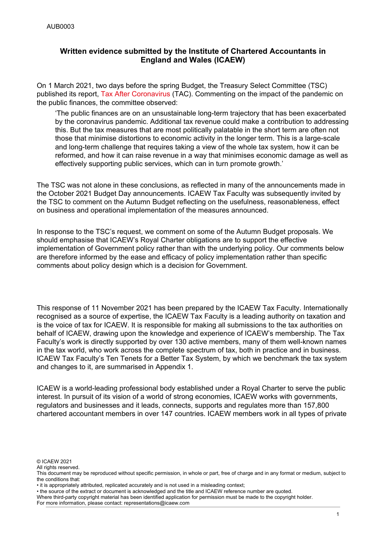### **Written evidence submitted by the Institute of Chartered Accountants in England and Wales (ICAEW)**

On 1 March 2021, two days before the spring Budget, the Treasury Select Committee (TSC) published its report, [Tax](https://committees.parliament.uk/publications/4865/documents/48898/default/) [After](https://committees.parliament.uk/publications/4865/documents/48898/default/) [Coronavirus](https://committees.parliament.uk/publications/4865/documents/48898/default/) (TAC). Commenting on the impact of the pandemic on the public finances, the committee observed:

'The public finances are on an unsustainable long-term trajectory that has been exacerbated by the coronavirus pandemic. Additional tax revenue could make a contribution to addressing this. But the tax measures that are most politically palatable in the short term are often not those that minimise distortions to economic activity in the longer term. This is a large-scale and long-term challenge that requires taking a view of the whole tax system, how it can be reformed, and how it can raise revenue in a way that minimises economic damage as well as effectively supporting public services, which can in turn promote growth.'

The TSC was not alone in these conclusions, as reflected in many of the announcements made in the October 2021 Budget Day announcements. ICAEW Tax Faculty was subsequently invited by the TSC to comment on the Autumn Budget reflecting on the usefulness, reasonableness, effect on business and operational implementation of the measures announced.

In response to the TSC's request, we comment on some of the Autumn Budget proposals. We should emphasise that ICAEW's Royal Charter obligations are to support the effective implementation of Government policy rather than with the underlying policy. Our comments below are therefore informed by the ease and efficacy of policy implementation rather than specific comments about policy design which is a decision for Government.

This response of 11 November 2021 has been prepared by the ICAEW Tax Faculty. Internationally recognised as a source of expertise, the ICAEW Tax Faculty is a leading authority on taxation and is the voice of tax for ICAEW. It is responsible for making all submissions to the tax authorities on behalf of ICAEW, drawing upon the knowledge and experience of ICAEW's membership. The Tax Faculty's work is directly supported by over 130 active members, many of them well-known names in the tax world, who work across the complete spectrum of tax, both in practice and in business. ICAEW Tax Faculty's Ten Tenets for a Better Tax System, by which we benchmark the tax system and changes to it, are summarised in Appendix 1.

ICAEW is a world-leading professional body established under a Royal Charter to serve the public interest. In pursuit of its vision of a world of strong economies, ICAEW works with governments, regulators and businesses and it leads, connects, supports and regulates more than 157,800 chartered accountant members in over 147 countries. ICAEW members work in all types of private

© ICAEW 2021

All rights reserved

• the source of the extract or document is acknowledged and the title and ICAEW reference number are quoted.

For more information, please contact: representations@icaew.com

This document may be reproduced without specific permission, in whole or part, free of charge and in any format or medium, subject to the conditions that:

<sup>•</sup> it is appropriately attributed, replicated accurately and is not used in a misleading context;

Where third-party copyright material has been identified application for permission must be made to the copyright holder.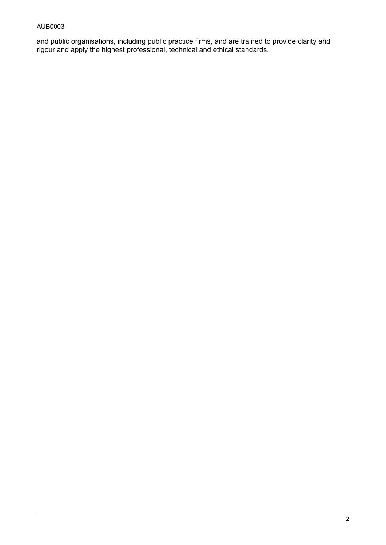### AUB0003

and public organisations, including public practice firms, and are trained to provide clarity and rigour and apply the highest professional, technical and ethical standards.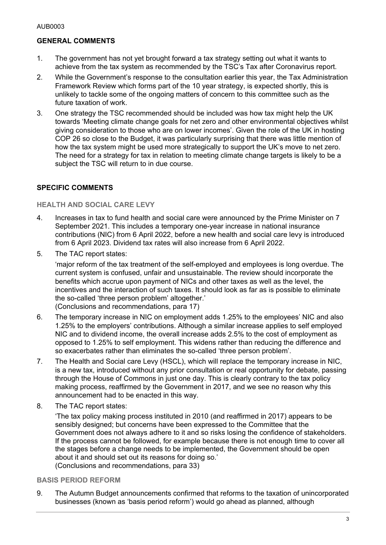# **GENERAL COMMENTS**

- 1. The government has not yet brought forward a tax strategy setting out what it wants to achieve from the tax system as recommended by the TSC's Tax after Coronavirus report.
- 2. While the Government's response to the consultation earlier this year, the Tax Administration Framework Review which forms part of the 10 year strategy, is expected shortly, this is unlikely to tackle some of the ongoing matters of concern to this committee such as the future taxation of work.
- 3. One strategy the TSC recommended should be included was how tax might help the UK towards 'Meeting climate change goals for net zero and other environmental objectives whilst giving consideration to those who are on lower incomes'. Given the role of the UK in hosting COP 26 so close to the Budget, it was particularly surprising that there was little mention of how the tax system might be used more strategically to support the UK's move to net zero. The need for a strategy for tax in relation to meeting climate change targets is likely to be a subject the TSC will return to in due course.

# **SPECIFIC COMMENTS**

#### **HEALTH AND SOCIAL CARE LEVY**

- 4. Increases in tax to fund health and social care were announced by the Prime Minister on 7 September 2021. This includes a temporary one-year increase in national insurance contributions (NIC) from 6 April 2022, before a new health and social care levy is introduced from 6 April 2023. Dividend tax rates will also increase from 6 April 2022.
- 5. The TAC report states:

'major reform of the tax treatment of the self-employed and employees is long overdue. The current system is confused, unfair and unsustainable. The review should incorporate the benefits which accrue upon payment of NICs and other taxes as well as the level, the incentives and the interaction of such taxes. It should look as far as is possible to eliminate the so-called 'three person problem' altogether.'

(Conclusions and recommendations, para 17)

- 6. The temporary increase in NIC on employment adds 1.25% to the employees' NIC and also 1.25% to the employers' contributions. Although a similar increase applies to self employed NIC and to dividend income, the overall increase adds 2.5% to the cost of employment as opposed to 1.25% to self employment. This widens rather than reducing the difference and so exacerbates rather than eliminates the so-called 'three person problem'.
- 7. The Health and Social care Levy (HSCL), which will replace the temporary increase in NIC, is a new tax, introduced without any prior consultation or real opportunity for debate, passing through the House of Commons in just one day. This is clearly contrary to the tax policy making process, reaffirmed by the Government in 2017, and we see no reason why this announcement had to be enacted in this way.
- 8. The TAC report states:

'The tax policy making process instituted in 2010 (and reaffirmed in 2017) appears to be sensibly designed; but concerns have been expressed to the Committee that the Government does not always adhere to it and so risks losing the confidence of stakeholders. If the process cannot be followed, for example because there is not enough time to cover all the stages before a change needs to be implemented, the Government should be open about it and should set out its reasons for doing so.' (Conclusions and recommendations, para 33)

#### **BASIS PERIOD REFORM**

9. The Autumn Budget announcements confirmed that reforms to the taxation of unincorporated businesses (known as 'basis period reform') would go ahead as planned, although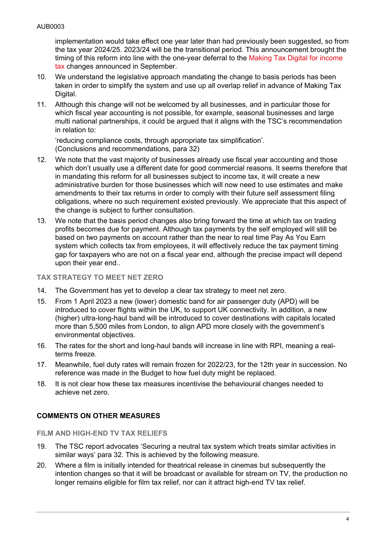implementation would take effect one year later than had previously been suggested, so from the tax year 2024/25. 2023/24 will be the transitional period. This announcement brought the timing of this reform into line with the one-year deferral to the [Making](https://www.icaew.com/insights/tax-news/2021/sep-2021/mtd-itsa-and-basis-period-reform-postponed) [Tax](https://www.icaew.com/insights/tax-news/2021/sep-2021/mtd-itsa-and-basis-period-reform-postponed) [Digital](https://www.icaew.com/insights/tax-news/2021/sep-2021/mtd-itsa-and-basis-period-reform-postponed) [for](https://www.icaew.com/insights/tax-news/2021/sep-2021/mtd-itsa-and-basis-period-reform-postponed) [income](https://www.icaew.com/insights/tax-news/2021/sep-2021/mtd-itsa-and-basis-period-reform-postponed) [tax](https://www.icaew.com/insights/tax-news/2021/sep-2021/mtd-itsa-and-basis-period-reform-postponed) changes announced in September.

- 10. We understand the legislative approach mandating the change to basis periods has been taken in order to simplify the system and use up all overlap relief in advance of Making Tax Digital.
- 11. Although this change will not be welcomed by all businesses, and in particular those for which fiscal year accounting is not possible, for example, seasonal businesses and large multi national partnerships, it could be argued that it aligns with the TSC's recommendation in relation to:

'reducing compliance costs, through appropriate tax simplification'. (Conclusions and recommendations, para 32)

- 12. We note that the vast majority of businesses already use fiscal year accounting and those which don't usually use a different date for good commercial reasons. It seems therefore that in mandating this reform for all businesses subject to income tax, it will create a new administrative burden for those businesses which will now need to use estimates and make amendments to their tax returns in order to comply with their future self assessment filing obligations, where no such requirement existed previously. We appreciate that this aspect of the change is subject to further consultation.
- 13. We note that the basis period changes also bring forward the time at which tax on trading profits becomes due for payment. Although tax payments by the self employed will still be based on two payments on account rather than the near to real time Pay As You Earn system which collects tax from employees, it will effectively reduce the tax payment timing gap for taxpayers who are not on a fiscal year end, although the precise impact will depend upon their year end..

#### **TAX STRATEGY TO MEET NET ZERO**

- 14. The Government has yet to develop a clear tax strategy to meet net zero.
- 15. From 1 April 2023 a new (lower) domestic band for air passenger duty (APD) will be introduced to cover flights within the UK, to support UK connectivity. In addition, a new (higher) ultra-long-haul band will be introduced to cover destinations with capitals located more than 5,500 miles from London, to align APD more closely with the government's environmental objectives.
- 16. The rates for the short and long-haul bands will increase in line with RPI, meaning a realterms freeze.
- 17. Meanwhile, fuel duty rates will remain frozen for 2022/23, for the 12th year in succession. No reference was made in the Budget to how fuel duty might be replaced.
- 18. It is not clear how these tax measures incentivise the behavioural changes needed to achieve net zero.

# **COMMENTS ON OTHER MEASURES**

**FILM AND HIGH-END TV TAX RELIEFS**

- 19. The TSC report advocates 'Securing a neutral tax system which treats similar activities in similar ways' para 32. This is achieved by the following measure.
- 20. Where a film is initially intended for theatrical release in cinemas but subsequently the intention changes so that it will be broadcast or available for stream on TV, the production no longer remains eligible for film tax relief, nor can it attract high-end TV tax relief.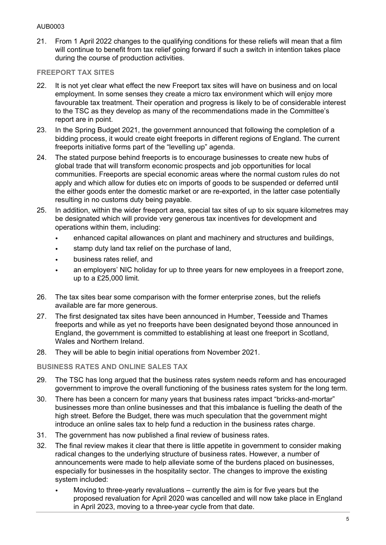### AUB0003

21. From 1 April 2022 changes to the qualifying conditions for these reliefs will mean that a film will continue to benefit from tax relief going forward if such a switch in intention takes place during the course of production activities.

### **FREEPORT TAX SITES**

- 22. It is not yet clear what effect the new Freeport tax sites will have on business and on local employment. In some senses they create a micro tax environment which will enjoy more favourable tax treatment. Their operation and progress is likely to be of considerable interest to the TSC as they develop as many of the recommendations made in the Committee's report are in point.
- 23. In the Spring Budget 2021, the government announced that following the completion of a bidding process, it would create eight freeports in different regions of England. The current freeports initiative forms part of the "levelling up" agenda.
- 24. The stated purpose behind freeports is to encourage businesses to create new hubs of global trade that will transform economic prospects and job opportunities for local communities. Freeports are special economic areas where the normal custom rules do not apply and which allow for duties etc on imports of goods to be suspended or deferred until the either goods enter the domestic market or are re-exported, in the latter case potentially resulting in no customs duty being payable.
- 25. In addition, within the wider freeport area, special tax sites of up to six square kilometres may be designated which will provide very generous tax incentives for development and operations within them, including:
	- enhanced capital allowances on plant and machinery and structures and buildings,
	- stamp duty land tax relief on the purchase of land,
	- business rates relief, and
	- an employers' NIC holiday for up to three years for new employees in a freeport zone, up to a £25,000 limit.
- 26. The tax sites bear some comparison with the former enterprise zones, but the reliefs available are far more generous.
- 27. The first designated tax sites have been announced in Humber, Teesside and Thames freeports and while as yet no freeports have been designated beyond those announced in England, the government is committed to establishing at least one freeport in Scotland, Wales and Northern Ireland.
- 28. They will be able to begin initial operations from November 2021.

**BUSINESS RATES AND ONLINE SALES TAX**

- 29. The TSC has long argued that the business rates system needs reform and has encouraged government to improve the overall functioning of the business rates system for the long term.
- 30. There has been a concern for many years that business rates impact "bricks-and-mortar" businesses more than online businesses and that this imbalance is fuelling the death of the high street. Before the Budget, there was much speculation that the government might introduce an online sales tax to help fund a reduction in the business rates charge.
- 31. The government has now published a final review of business rates.
- 32. The final review makes it clear that there is little appetite in government to consider making radical changes to the underlying structure of business rates. However, a number of announcements were made to help alleviate some of the burdens placed on businesses, especially for businesses in the hospitality sector. The changes to improve the existing system included:
	- Moving to three-yearly revaluations currently the aim is for five years but the proposed revaluation for April 2020 was cancelled and will now take place in England in April 2023, moving to a three-year cycle from that date.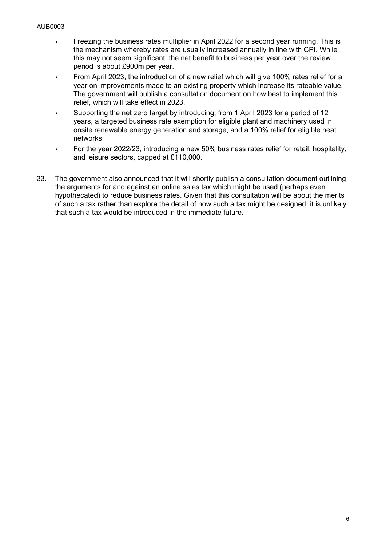- Freezing the business rates multiplier in April 2022 for a second year running. This is the mechanism whereby rates are usually increased annually in line with CPI. While this may not seem significant, the net benefit to business per year over the review period is about £900m per year.
- From April 2023, the introduction of a new relief which will give 100% rates relief for a year on improvements made to an existing property which increase its rateable value. The government will publish a consultation document on how best to implement this relief, which will take effect in 2023.
- Supporting the net zero target by introducing, from 1 April 2023 for a period of 12 years, a targeted business rate exemption for eligible plant and machinery used in onsite renewable energy generation and storage, and a 100% relief for eligible heat networks.
- For the year 2022/23, introducing a new 50% business rates relief for retail, hospitality, and leisure sectors, capped at £110,000.
- 33. The government also announced that it will shortly publish a consultation document outlining the arguments for and against an online sales tax which might be used (perhaps even hypothecated) to reduce business rates. Given that this consultation will be about the merits of such a tax rather than explore the detail of how such a tax might be designed, it is unlikely that such a tax would be introduced in the immediate future.